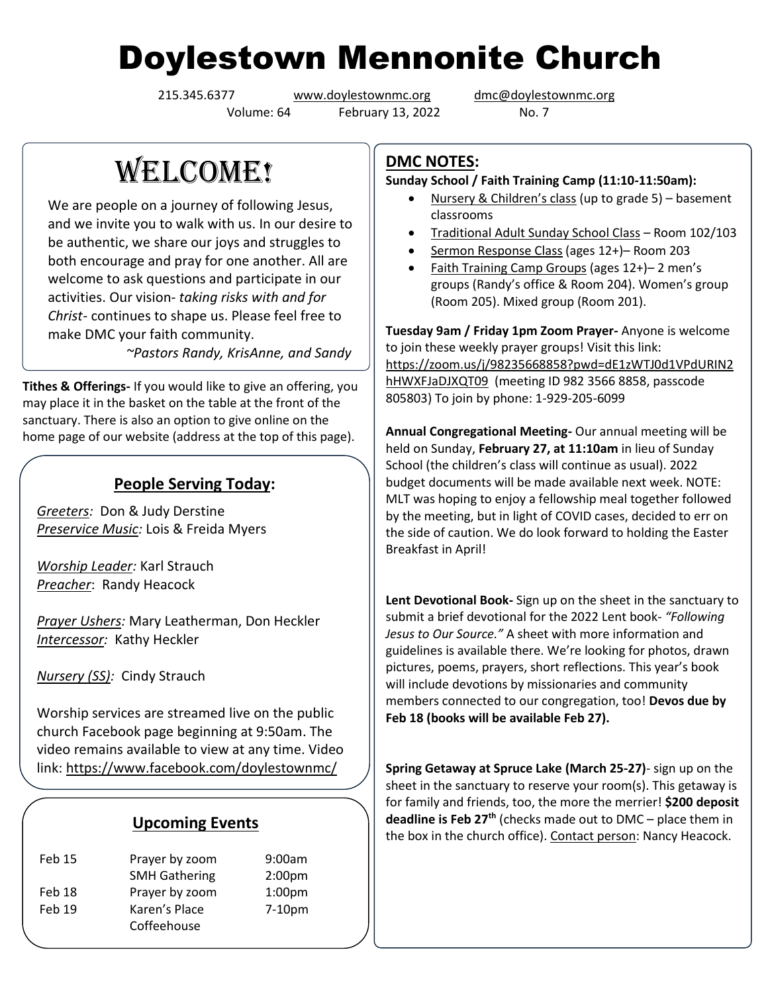# Doylestown Mennonite Church

Volume: 64 February 13, 2022 No. 7

215.345.6377 [www.doylestownmc.org](http://www.doylestownmc.org/) [dmc@doylestownmc.org](mailto:dmc@doylestownmc.org)

WELCOME!

We are people on a journey of following Jesus, and we invite you to walk with us. In our desire to be authentic, we share our joys and struggles to both encourage and pray for one another. All are welcome to ask questions and participate in our activities. Our vision- *taking risks with and for Christ*- continues to shape us. Please feel free to make DMC your faith community.

 *~Pastors Randy, KrisAnne, and Sandy*

**Tithes & Offerings-** If you would like to give an offering, you may place it in the basket on the table at the front of the sanctuary. There is also an option to give online on the home page of our website (address at the top of this page).

## **People Serving Today:**

*Greeters:* Don & Judy Derstine *Preservice Music:* Lois & Freida Myers

*Worship Leader:* Karl Strauch *Preacher*: Randy Heacock

*Prayer Ushers:* Mary Leatherman, Don Heckler *Intercessor:* Kathy Heckler

*Nursery (SS):* Cindy Strauch

Worship services are streamed live on the public church Facebook page beginning at 9:50am. The video remains available to view at any time. Video link: <https://www.facebook.com/doylestownmc/>

#### **Upcoming Events**

| <b>Feb 15</b> | Prayer by zoom       | 9:00am             |
|---------------|----------------------|--------------------|
|               | <b>SMH Gathering</b> | 2:00 <sub>pm</sub> |
| Feb 18        | Prayer by zoom       | 1:00 <sub>pm</sub> |
| Feb 19        | Karen's Place        | $7-10pm$           |
|               | Coffeehouse          |                    |

## **DMC NOTES:**

**Sunday School / Faith Training Camp (11:10-11:50am):**

- Nursery & Children's class (up to grade 5) basement classrooms
- Traditional Adult Sunday School Class Room 102/103
- Sermon Response Class (ages 12+)– Room 203
- Faith Training Camp Groups (ages 12+)-2 men's groups (Randy's office & Room 204). Women's group (Room 205). Mixed group (Room 201).

**Tuesday 9am / Friday 1pm Zoom Prayer-** Anyone is welcome to join these weekly prayer groups! Visit this link: [https://zoom.us/j/98235668858?pwd=dE1zWTJ0d1VPdURIN2](https://zoom.us/j/98235668858?pwd=dE1zWTJ0d1VPdURIN2hHWXFJaDJXQT09) [hHWXFJaDJXQT09](https://zoom.us/j/98235668858?pwd=dE1zWTJ0d1VPdURIN2hHWXFJaDJXQT09) (meeting ID 982 3566 8858, passcode 805803) To join by phone: 1-929-205-6099

**Annual Congregational Meeting-** Our annual meeting will be held on Sunday, **February 27, at 11:10am** in lieu of Sunday School (the children's class will continue as usual). 2022 budget documents will be made available next week. NOTE: MLT was hoping to enjoy a fellowship meal together followed by the meeting, but in light of COVID cases, decided to err on the side of caution. We do look forward to holding the Easter Breakfast in April!

**Lent Devotional Book-** Sign up on the sheet in the sanctuary to submit a brief devotional for the 2022 Lent book- *"Following Jesus to Our Source."* A sheet with more information and guidelines is available there. We're looking for photos, drawn pictures, poems, prayers, short reflections. This year's book will include devotions by missionaries and community members connected to our congregation, too! **Devos due by Feb 18 (books will be available Feb 27).**

**Spring Getaway at Spruce Lake (March 25-27)**- sign up on the sheet in the sanctuary to reserve your room(s). This getaway is for family and friends, too, the more the merrier! **\$200 deposit deadline is Feb 27th** (checks made out to DMC – place them in the box in the church office). Contact person: Nancy Heacock.